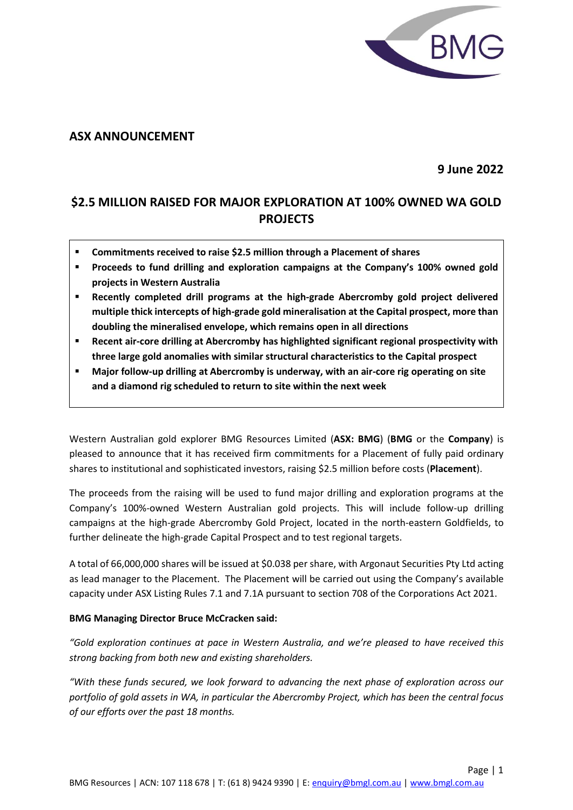

# **ASX ANNOUNCEMENT**

**9 June 2022**

# **\$2.5 MILLION RAISED FOR MAJOR EXPLORATION AT 100% OWNED WA GOLD PROJECTS**

- **Commitments received to raise \$2.5 million through a Placement of shares**
- **Proceeds to fund drilling and exploration campaigns at the Company's 100% owned gold projects in Western Australia**
- **Recently completed drill programs at the high-grade Abercromby gold project delivered multiple thick intercepts of high-grade gold mineralisation at the Capital prospect, more than doubling the mineralised envelope, which remains open in all directions**
- **Recent air-core drilling at Abercromby has highlighted significant regional prospectivity with three large gold anomalies with similar structural characteristics to the Capital prospect**
- **Major follow-up drilling at Abercromby is underway, with an air-core rig operating on site and a diamond rig scheduled to return to site within the next week**

Western Australian gold explorer BMG Resources Limited (**ASX: BMG**) (**BMG** or the **Company**) is pleased to announce that it has received firm commitments for a Placement of fully paid ordinary shares to institutional and sophisticated investors, raising \$2.5 million before costs (**Placement**).

The proceeds from the raising will be used to fund major drilling and exploration programs at the Company's 100%-owned Western Australian gold projects. This will include follow-up drilling campaigns at the high-grade Abercromby Gold Project, located in the north-eastern Goldfields, to further delineate the high-grade Capital Prospect and to test regional targets.

A total of 66,000,000 shares will be issued at \$0.038 per share, with Argonaut Securities Pty Ltd acting as lead manager to the Placement. The Placement will be carried out using the Company's available capacity under ASX Listing Rules 7.1 and 7.1A pursuant to section 708 of the Corporations Act 2021.

#### **BMG Managing Director Bruce McCracken said:**

*"Gold exploration continues at pace in Western Australia, and we're pleased to have received this strong backing from both new and existing shareholders.*

*"With these funds secured, we look forward to advancing the next phase of exploration across our portfolio of gold assets in WA, in particular the Abercromby Project, which has been the central focus of our efforts over the past 18 months.*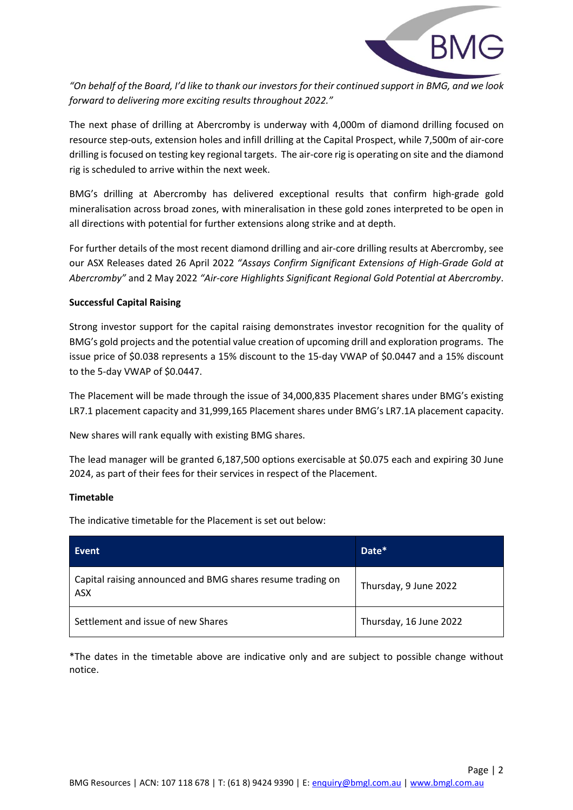

*"On behalf of the Board, I'd like to thank our investors for their continued support in BMG, and we look forward to delivering more exciting results throughout 2022."*

The next phase of drilling at Abercromby is underway with 4,000m of diamond drilling focused on resource step-outs, extension holes and infill drilling at the Capital Prospect, while 7,500m of air-core drilling is focused on testing key regional targets. The air-core rig is operating on site and the diamond rig is scheduled to arrive within the next week.

BMG's drilling at Abercromby has delivered exceptional results that confirm high-grade gold mineralisation across broad zones, with mineralisation in these gold zones interpreted to be open in all directions with potential for further extensions along strike and at depth.

For further details of the most recent diamond drilling and air-core drilling results at Abercromby, see our ASX Releases dated 26 April 2022 *"Assays Confirm Significant Extensions of High-Grade Gold at Abercromby"* and 2 May 2022 *"Air-core Highlights Significant Regional Gold Potential at Abercromby*.

### **Successful Capital Raising**

Strong investor support for the capital raising demonstrates investor recognition for the quality of BMG's gold projects and the potential value creation of upcoming drill and exploration programs. The issue price of \$0.038 represents a 15% discount to the 15-day VWAP of \$0.0447 and a 15% discount to the 5-day VWAP of \$0.0447.

The Placement will be made through the issue of 34,000,835 Placement shares under BMG's existing LR7.1 placement capacity and 31,999,165 Placement shares under BMG's LR7.1A placement capacity.

New shares will rank equally with existing BMG shares.

The lead manager will be granted 6,187,500 options exercisable at \$0.075 each and expiring 30 June 2024, as part of their fees for their services in respect of the Placement.

#### **Timetable**

The indicative timetable for the Placement is set out below:

| Event                                                             | Date*                  |
|-------------------------------------------------------------------|------------------------|
| Capital raising announced and BMG shares resume trading on<br>ASX | Thursday, 9 June 2022  |
| Settlement and issue of new Shares                                | Thursday, 16 June 2022 |

\*The dates in the timetable above are indicative only and are subject to possible change without notice.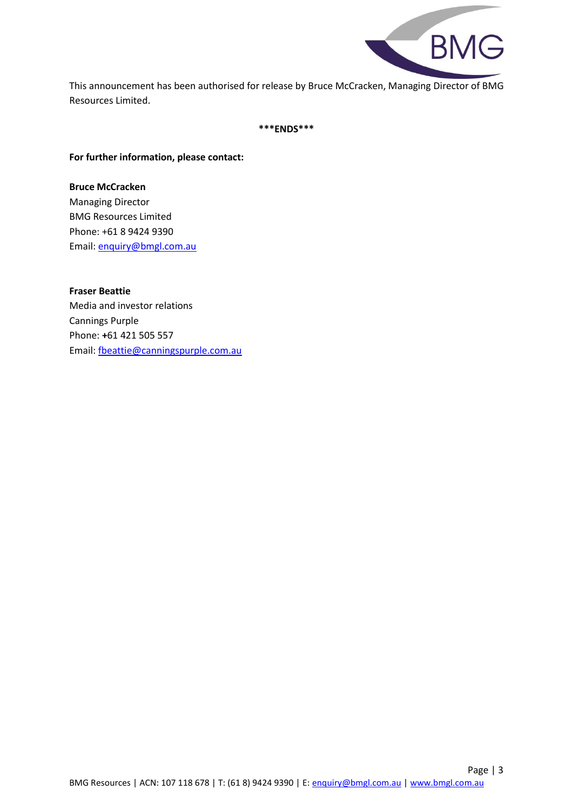

This announcement has been authorised for release by Bruce McCracken, Managing Director of BMG Resources Limited.

**\*\*\*ENDS\*\*\***

### **For further information, please contact:**

**Bruce McCracken** Managing Director BMG Resources Limited Phone: +61 8 9424 9390 Email: [enquiry@bmgl.com.au](mailto:enquiry@bmgl.com.au)

**Fraser Beattie** Media and investor relations Cannings Purple Phone: **+**61 421 505 557 Email: [fbeattie@canningspurple.com.au](mailto:fbeattie@canningspurple.com.au)